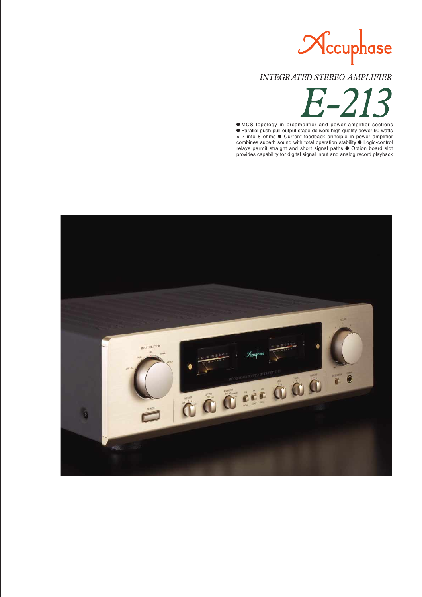

**INTEGRATED STEREO AMPLIFIER** 

 $\bullet$  MCS topology in preamplifier and power amplifier sections m Parallel push-pull output stage delivers high quality power 90 watts  $\times$  2 into 8 ohms  $\bullet$  Current feedback principle in power amplifier combines superb sound with total operation stability  $\bullet$  Logic-control relays permit straight and short signal paths  $\bullet$  Option board slot provides capability for digital signal input and analog record playback

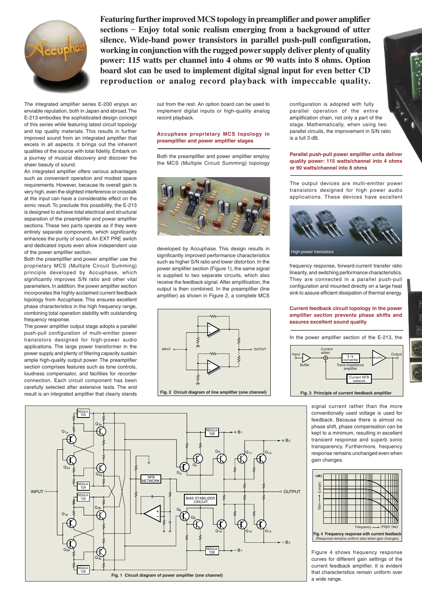

**Featuring further improved MCS topology in preamplifier and power amplifier sections** – **Enjoy total sonic realism emerging from a background of utter silence. Wide-band power transistors in parallel push-pull configuration, working in conjunction with the rugged power supply deliver plenty of quality power: 115 watts per channel into 4 ohms or 90 watts into 8 ohms. Option board slot can be used to implement digital signal input for even better CD reproduction or analog record playback with impeccable quality.**

The integrated amplifier series E-200 enjoys an enviable reputation, both in Japan and abroad. The E-213 embodies the sophisticated design concept of this series while featuring latest circuit topology and top quality materials. This results in further improved sound from an integrated amplifier that excels in all aspects. It brings out the inherent qualities of the source with total fidelity. Embark on a journey of musical discovery and discover the sheer beauty of sound.

An integrated amplifier offers various advantages such as convenient operation and modest space requirements. However, because its overall gain is very high, even the slightest interference or crosstalk at the input can have a considerable effect on the sonic result. To preclude this possibility, the E-213 is designed to achieve total electrical and structural separation of the preamplifier and power amplifier sections. These two parts operate as if they were entirely separate components, which significantly enhances the purity of sound. An EXT PRE switch and dedicated inputs even allow independent use of the power amplifier section.

Both the preamplifier and power amplifier use the proprietary MCS (Multiple Circuit Summing) principle developed by Accuphase, which significantly improves S/N ratio and other vital parameters. In addition, the power amplifier section incorporates the highly acclaimed current feedback topology from Accuphase. This ensures excellent phase characteristics in the high frequency range, combining total operation stability with outstanding frequency response.

The power amplifier output stage adopts a parallel push-pull configuration of multi-emitter power transistors designed for high-power audio applications. The large power transformer in the power supply and plenty of filtering capacity sustain ample high-quality output power. The preamplifier section comprises features such as tone controls, loudness compensator, and facilities for recorder connection. Each circuit component has been carefully selected after extensive tests. The end result is an integrated amplifier that clearly stands

out from the rest. An option board can be used to implement digital inputs or high-quality analog record playback.

### **Accuphase proprietary MCS topology in preamplifier and power amplifier stages**

Both the preamplifier and power amplifier employ the MCS (Multiple Circuit Summing) topology



developed by Accuphase. This design results in significantly improved performance characteristics such as higher S/N ratio and lower distortion. In the power amplifier section (Figure 1), the same signal is supplied to two separate circuits, which also receive the feedback signal. After amplification, the output is then combined. In the preamplifier (line amplifier) as shown in Figure 2, a complete MCS



configuration is adopted with fully parallel operation of the entire amplification chain, not only a part of the stage. Mathematically, when using two parallel circuits, the improvement in S/N ratio is a full 3 dB.

### **Parallel push-pull power amplifier units deliver quality power: 115 watts/channel into 4 ohms or 90 watts/channel into 8 ohms**

The output devices are multi-emitter power transistors designed for high power audio applications. These devices have excellent



frequency response, forward-current transfer ratio linearity, and switching performance characteristics. They are connected in a parallel push-pull configuration and mounted directly on a large heat sink to assure efficient dissipation of thermal energy.

### **Current feedback circuit topology in the power amplifier section prevents phase shifts and assures excellent sound quality**

In the power amplifier section of the E-213, the



signal current rather than the more conventionally used voltage is used for feedback. Because there is almost no phase shift, phase compensation can be kept to a minimum, resulting in excellent transient response and superb sonic transparency. Furthermore, frequency response remains unchanged even when gain changes.



Figure 4 shows frequency response curves for different gain settings of the current feedback amplifier. It is evident that characteristics remain uniform over a wide range.

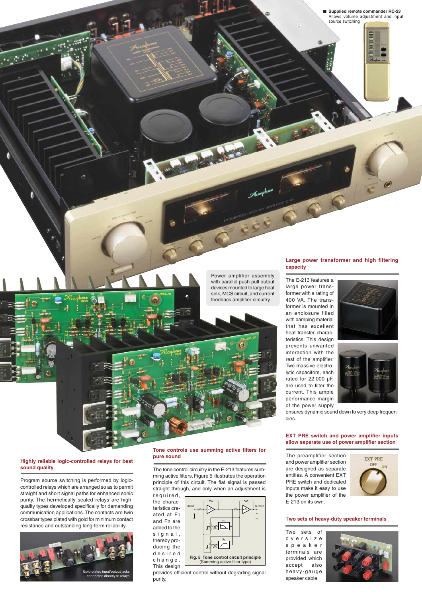# **capacity**

**Large power transformer and high filtering**

The E-213 features a large power transformer with a rating of 400 VA. The transformer is mounted in an enclosure filled with damping material that has excellent heat transfer characteristics. This design prevents unwanted interaction with the rest of the amplifier. Two massive electrolytic capacitors, each rated for 22,000 µF, are used to filter the current. This ample performance margin of the power supply



ensures dynamic sound down to very deep frequencies.

## **allow separate use of power amplifier section**

and power amplifier section are designed as separate entities. A convenient EXT PRE switch and dedicated inputs make it easy to use the power amplifier of the E-213 on its own.



### T**wo sets of heavy-duty speaker terminals**

Two sets of oversize speaker terminals are provided which accept also heavy-gauge speaker cable.



Power amplifier assembly with parallel push-pull output devices mounted to large heat sink, MCS circuit, and current feedback amplifier circuitry

### **Highly reliable logic-controlled relays for best sound quality**

Program source switching is performed by logiccontrolled relays which are arranged so as to permit straight and short signal paths for enhanced sonic purity. The hermetically sealed relays are highquality types developed specifically for demanding communication applications. The contacts are twin crossbar types plated with gold for minimum contact resistance and outstanding long-term reliability.



### **Tone controls use summing active filters for pure sound**

The tone control circuitry in the E-213 features summing active filters. Figure 5 illustrates the operation principle of this circuit. The flat signal is passed straight through, and only when an adjustment is required,

the characteristics created at F1 and F2 are added to the signal, thereby producing the desired change. This design



provides efficient control without degrading signal purity.

**EXT PRE switch and power amplifier inputs**

# The preamplifier section